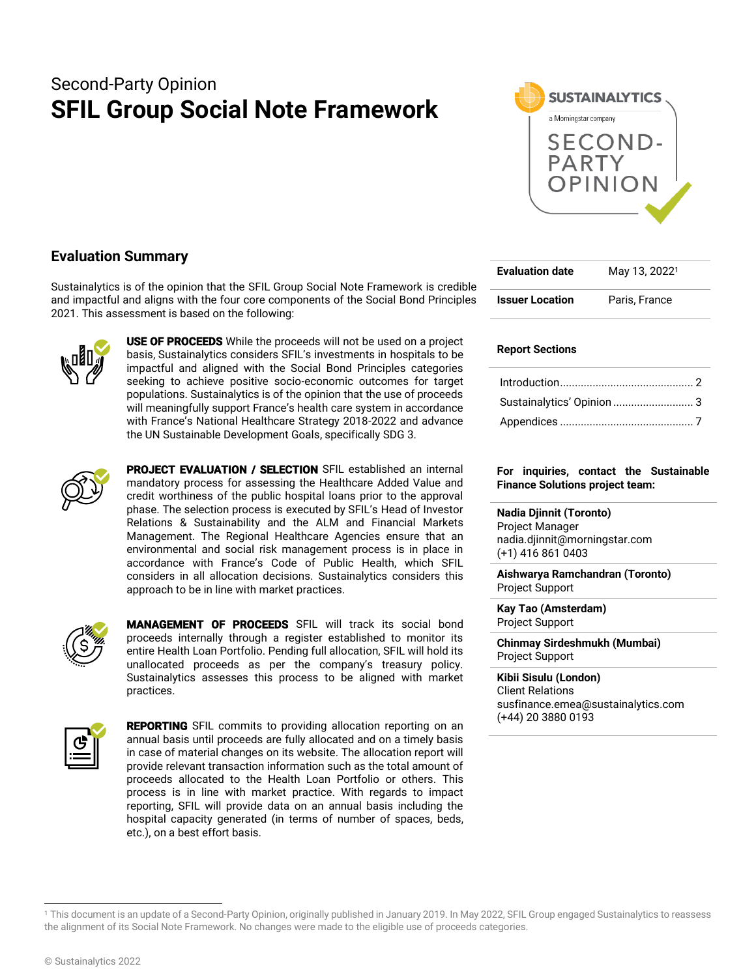# Second-Party Opinion **SFIL Group Social Note Framework**



# **Evaluation Summary**

Sustainalytics is of the opinion that the SFIL Group Social Note Framework is credible and impactful and aligns with the four core components of the Social Bond Principles 2021. This assessment is based on the following:



**USE OF PROCEEDS** While the proceeds will not be used on a project basis, Sustainalytics considers SFIL's investments in hospitals to be impactful and aligned with the Social Bond Principles categories seeking to achieve positive socio-economic outcomes for target populations. Sustainalytics is of the opinion that the use of proceeds will meaningfully support France's health care system in accordance with France's National Healthcare Strategy 2018-2022 and advance the UN Sustainable Development Goals, specifically SDG 3.



PROJECT EVALUATION / SELECTION SFIL established an internal mandatory process for assessing the Healthcare Added Value and credit worthiness of the public hospital loans prior to the approval phase. The selection process is executed by SFIL's Head of Investor Relations & Sustainability and the ALM and Financial Markets Management. The Regional Healthcare Agencies ensure that an environmental and social risk management process is in place in accordance with France's Code of Public Health, which SFIL considers in all allocation decisions. Sustainalytics considers this approach to be in line with market practices.



MANAGEMENT OF PROCEEDS SFIL will track its social bond proceeds internally through a register established to monitor its entire Health Loan Portfolio. Pending full allocation, SFIL will hold its unallocated proceeds as per the company's treasury policy. Sustainalytics assesses this process to be aligned with market practices.



**REPORTING** SFIL commits to providing allocation reporting on an annual basis until proceeds are fully allocated and on a timely basis in case of material changes on its website. The allocation report will provide relevant transaction information such as the total amount of proceeds allocated to the Health Loan Portfolio or others. This process is in line with market practice. With regards to impact reporting, SFIL will provide data on an annual basis including the hospital capacity generated (in terms of number of spaces, beds, etc.), on a best effort basis.

| <b>Evaluation date</b> | May 13, 2022 <sup>1</sup> |
|------------------------|---------------------------|
| <b>Issuer Location</b> | Paris, France             |

## **Report Sections**

| Sustainalytics' Opinion  3 |  |
|----------------------------|--|
|                            |  |

#### **For inquiries, contact the Sustainable Finance Solutions project team:**

**Nadia Djinnit (Toronto)** Project Manager nadia.djinnit@morningstar.com (+1) 416 861 0403

**Aishwarya Ramchandran (Toronto)** Project Support

**Kay Tao (Amsterdam)** Project Support

**Chinmay Sirdeshmukh (Mumbai)** Project Support

**Kibii Sisulu (London)** Client Relations susfinance.emea@sustainalytics.com (+44) 20 3880 0193

<sup>1</sup> This document is an update of a Second-Party Opinion, originally published in January 2019. In May 2022, SFIL Group engaged Sustainalytics to reassess the alignment of its Social Note Framework. No changes were made to the eligible use of proceeds categories.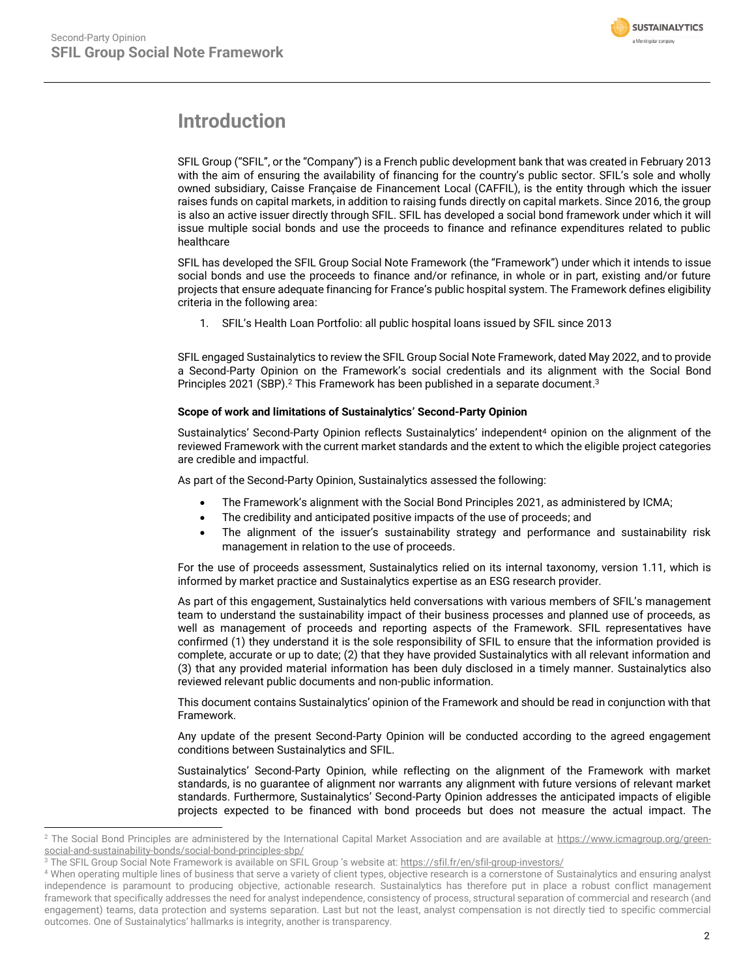

# <span id="page-1-0"></span>**Introduction**

SFIL Group ("SFIL", or the "Company") is a French public development bank that was created in February 2013 with the aim of ensuring the availability of financing for the country's public sector. SFIL's sole and wholly owned subsidiary, Caisse Française de Financement Local (CAFFIL), is the entity through which the issuer raises funds on capital markets, in addition to raising funds directly on capital markets. Since 2016, the group is also an active issuer directly through SFIL. SFIL has developed a social bond framework under which it will issue multiple social bonds and use the proceeds to finance and refinance expenditures related to public healthcare

SFIL has developed the SFIL Group Social Note Framework (the "Framework") under which it intends to issue social bonds and use the proceeds to finance and/or refinance, in whole or in part, existing and/or future projects that ensure adequate financing for France's public hospital system. The Framework defines eligibility criteria in the following area:

1. SFIL's Health Loan Portfolio: all public hospital loans issued by SFIL since 2013

SFIL engaged Sustainalytics to review the SFIL Group Social Note Framework, dated May 2022, and to provide a Second-Party Opinion on the Framework's social credentials and its alignment with the Social Bond Principles 2021 (SBP).<sup>2</sup> This Framework has been published in a separate document.<sup>3</sup>

### **Scope of work and limitations of Sustainalytics' Second-Party Opinion**

Sustainalytics' Second-Party Opinion reflects Sustainalytics' independent<sup>4</sup> opinion on the alignment of the reviewed Framework with the current market standards and the extent to which the eligible project categories are credible and impactful.

As part of the Second-Party Opinion, Sustainalytics assessed the following:

- The Framework's alignment with the Social Bond Principles 2021, as administered by ICMA;
- The credibility and anticipated positive impacts of the use of proceeds; and
- The alignment of the issuer's sustainability strategy and performance and sustainability risk management in relation to the use of proceeds.

For the use of proceeds assessment, Sustainalytics relied on its internal taxonomy, version 1.11, which is informed by market practice and Sustainalytics expertise as an ESG research provider.

As part of this engagement, Sustainalytics held conversations with various members of SFIL's management team to understand the sustainability impact of their business processes and planned use of proceeds, as well as management of proceeds and reporting aspects of the Framework. SFIL representatives have confirmed (1) they understand it is the sole responsibility of SFIL to ensure that the information provided is complete, accurate or up to date; (2) that they have provided Sustainalytics with all relevant information and (3) that any provided material information has been duly disclosed in a timely manner. Sustainalytics also reviewed relevant public documents and non-public information.

This document contains Sustainalytics' opinion of the Framework and should be read in conjunction with that Framework.

Any update of the present Second-Party Opinion will be conducted according to the agreed engagement conditions between Sustainalytics and SFIL.

Sustainalytics' Second-Party Opinion, while reflecting on the alignment of the Framework with market standards, is no guarantee of alignment nor warrants any alignment with future versions of relevant market standards. Furthermore, Sustainalytics' Second-Party Opinion addresses the anticipated impacts of eligible projects expected to be financed with bond proceeds but does not measure the actual impact. The

<sup>&</sup>lt;sup>2</sup> The Social Bond Principles are administered by the International Capital Market Association and are available at [https://www.icmagroup.org/green](https://www.icmagroup.org/green-social-and-sustainability-bonds/social-bond-principles-sbp/)[social-and-sustainability-bonds/social-bond-principles-sbp/](https://www.icmagroup.org/green-social-and-sustainability-bonds/social-bond-principles-sbp/)

<sup>&</sup>lt;sup>3</sup> The SFIL Group Social Note Framework is available on SFIL Group 's website at: <https://sfil.fr/en/sfil-group-investors/>

<sup>4</sup> When operating multiple lines of business that serve a variety of client types, objective research is a cornerstone of Sustainalytics and ensuring analyst independence is paramount to producing objective, actionable research. Sustainalytics has therefore put in place a robust conflict management framework that specifically addresses the need for analyst independence, consistency of process, structural separation of commercial and research (and engagement) teams, data protection and systems separation. Last but not the least, analyst compensation is not directly tied to specific commercial outcomes. One of Sustainalytics' hallmarks is integrity, another is transparency.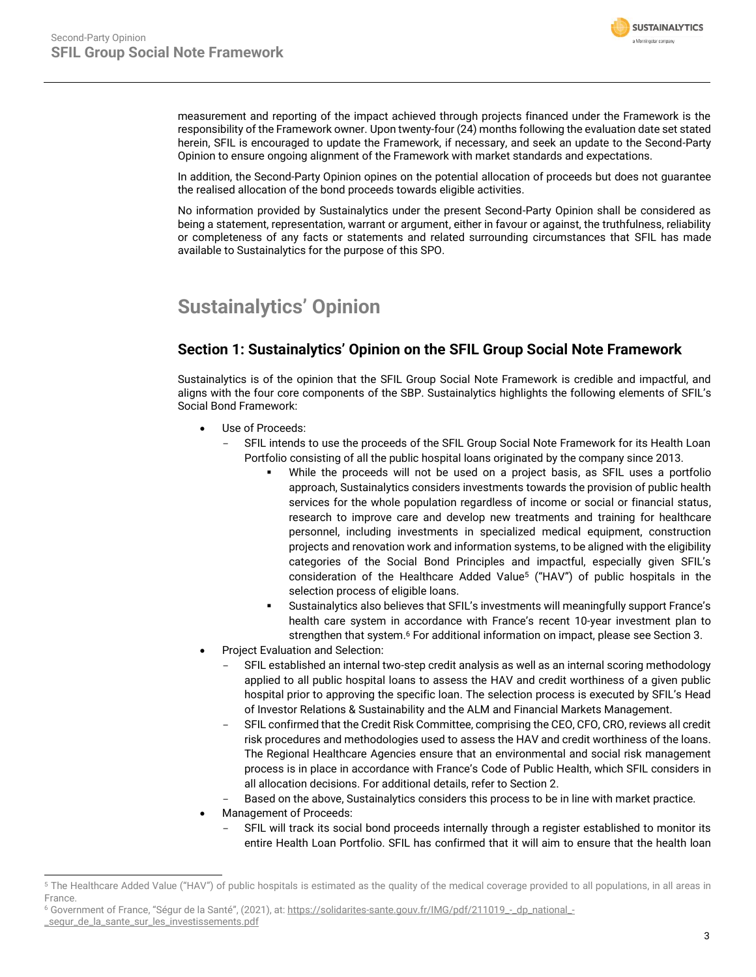

measurement and reporting of the impact achieved through projects financed under the Framework is the responsibility of the Framework owner. Upon twenty-four (24) months following the evaluation date set stated herein, SFIL is encouraged to update the Framework, if necessary, and seek an update to the Second-Party Opinion to ensure ongoing alignment of the Framework with market standards and expectations.

In addition, the Second-Party Opinion opines on the potential allocation of proceeds but does not guarantee the realised allocation of the bond proceeds towards eligible activities.

No information provided by Sustainalytics under the present Second-Party Opinion shall be considered as being a statement, representation, warrant or argument, either in favour or against, the truthfulness, reliability or completeness of any facts or statements and related surrounding circumstances that SFIL has made available to Sustainalytics for the purpose of this SPO.

# <span id="page-2-0"></span>**Sustainalytics' Opinion**

# **Section 1: Sustainalytics' Opinion on the SFIL Group Social Note Framework**

Sustainalytics is of the opinion that the SFIL Group Social Note Framework is credible and impactful, and aligns with the four core components of the SBP. Sustainalytics highlights the following elements of SFIL's Social Bond Framework:

- Use of Proceeds:
	- SFIL intends to use the proceeds of the SFIL Group Social Note Framework for its Health Loan Portfolio consisting of all the public hospital loans originated by the company since 2013.
		- While the proceeds will not be used on a project basis, as SFIL uses a portfolio approach, Sustainalytics considers investments towards the provision of public health services for the whole population regardless of income or social or financial status, research to improve care and develop new treatments and training for healthcare personnel, including investments in specialized medical equipment, construction projects and renovation work and information systems, to be aligned with the eligibility categories of the Social Bond Principles and impactful, especially given SFIL's consideration of the Healthcare Added Value<sup>5</sup> ("HAV") of public hospitals in the selection process of eligible loans.
		- Sustainalytics also believes that SFIL's investments will meaningfully support France's health care system in accordance with France's recent 10-year investment plan to strengthen that system. <sup>6</sup> For additional information on impact, please see Section 3.
- Project Evaluation and Selection:
	- SFIL established an internal two-step credit analysis as well as an internal scoring methodology applied to all public hospital loans to assess the HAV and credit worthiness of a given public hospital prior to approving the specific loan. The selection process is executed by SFIL's Head of Investor Relations & Sustainability and the ALM and Financial Markets Management.
	- SFIL confirmed that the Credit Risk Committee, comprising the CEO, CFO, CRO, reviews all credit risk procedures and methodologies used to assess the HAV and credit worthiness of the loans. The Regional Healthcare Agencies ensure that an environmental and social risk management process is in place in accordance with France's Code of Public Health, which SFIL considers in all allocation decisions. For additional details, refer to Section 2.
	- Based on the above, Sustainalytics considers this process to be in line with market practice.
- Management of Proceeds:
	- SFIL will track its social bond proceeds internally through a register established to monitor its entire Health Loan Portfolio. SFIL has confirmed that it will aim to ensure that the health loan

<sup>6</sup> Government of France, "Ségur de la Santé", (2021), at: [https://solidarites-sante.gouv.fr/IMG/pdf/211019\\_-\\_dp\\_national\\_-](https://solidarites-sante.gouv.fr/IMG/pdf/211019_-_dp_national_-_segur_de_la_sante_sur_les_investissements.pdf) [\\_segur\\_de\\_la\\_sante\\_sur\\_les\\_investissements.pdf](https://solidarites-sante.gouv.fr/IMG/pdf/211019_-_dp_national_-_segur_de_la_sante_sur_les_investissements.pdf)

<sup>&</sup>lt;sup>5</sup> The Healthcare Added Value ("HAV") of public hospitals is estimated as the quality of the medical coverage provided to all populations, in all areas in France.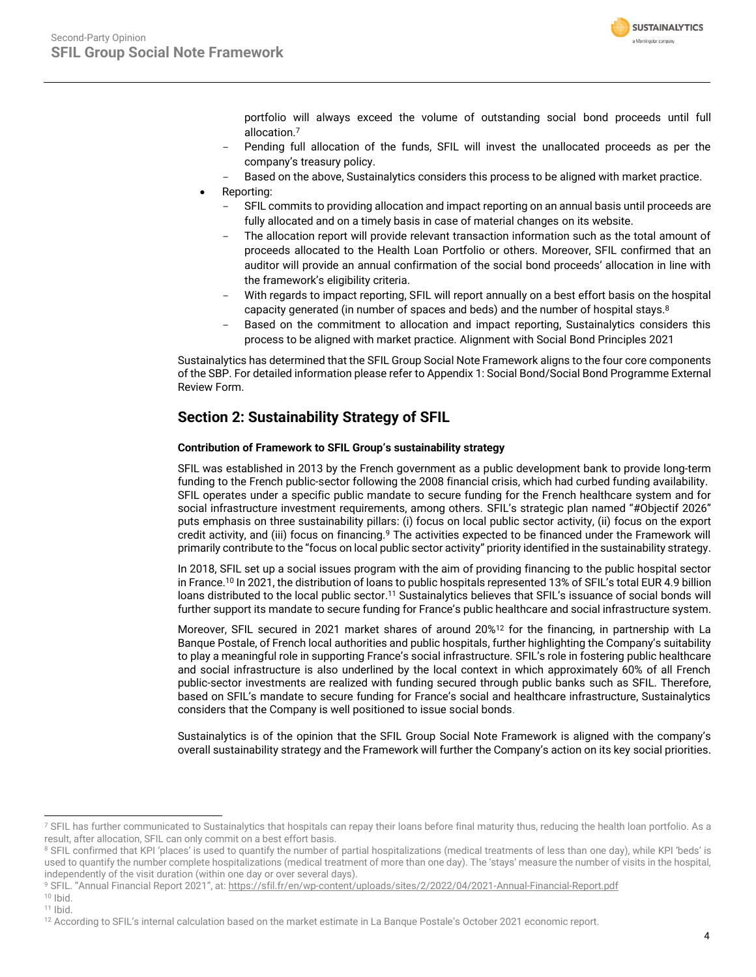

portfolio will always exceed the volume of outstanding social bond proceeds until full allocation. 7

- Pending full allocation of the funds, SFIL will invest the unallocated proceeds as per the company's treasury policy.
- Based on the above, Sustainalytics considers this process to be aligned with market practice.
- Reporting:
	- SFIL commits to providing allocation and impact reporting on an annual basis until proceeds are fully allocated and on a timely basis in case of material changes on its website.
	- The allocation report will provide relevant transaction information such as the total amount of proceeds allocated to the Health Loan Portfolio or others. Moreover, SFIL confirmed that an auditor will provide an annual confirmation of the social bond proceeds' allocation in line with the framework's eligibility criteria.
	- With regards to impact reporting, SFIL will report annually on a best effort basis on the hospital capacity generated (in number of spaces and beds) and the number of hospital stays. $8$
	- Based on the commitment to allocation and impact reporting, Sustainalytics considers this process to be aligned with market practice. Alignment with Social Bond Principles 2021

Sustainalytics has determined that the SFIL Group Social Note Framework aligns to the four core components of the SBP. For detailed information please refer to Appendix 1: Social Bond/Social Bond Programme External Review Form.

# **Section 2: Sustainability Strategy of SFIL**

# **Contribution of Framework to SFIL Group's sustainability strategy**

SFIL was established in 2013 by the French government as a public development bank to provide long-term funding to the French public-sector following the 2008 financial crisis, which had curbed funding availability. SFIL operates under a specific public mandate to secure funding for the French healthcare system and for social infrastructure investment requirements, among others. SFIL's strategic plan named "#Objectif 2026" puts emphasis on three sustainability pillars: (i) focus on local public sector activity, (ii) focus on the export credit activity, and (iii) focus on financing.<sup>9</sup> The activities expected to be financed under the Framework will primarily contribute to the "focus on local public sector activity" priority identified in the sustainability strategy.

In 2018, SFIL set up a social issues program with the aim of providing financing to the public hospital sector in France.<sup>10</sup> In 2021, the distribution of loans to public hospitals represented 13% of SFIL's total EUR 4.9 billion loans distributed to the local public sector.<sup>11</sup> Sustainalytics believes that SFIL's issuance of social bonds will further support its mandate to secure funding for France's public healthcare and social infrastructure system.

Moreover, SFIL secured in 2021 market shares of around 20%<sup>12</sup> for the financing, in partnership with La Banque Postale, of French local authorities and public hospitals, further highlighting the Company's suitability to play a meaningful role in supporting France's social infrastructure. SFIL's role in fostering public healthcare and social infrastructure is also underlined by the local context in which approximately 60% of all French public-sector investments are realized with funding secured through public banks such as SFIL. Therefore, based on SFIL's mandate to secure funding for France's social and healthcare infrastructure, Sustainalytics considers that the Company is well positioned to issue social bonds.

Sustainalytics is of the opinion that the SFIL Group Social Note Framework is aligned with the company's overall sustainability strategy and the Framework will further the Company's action on its key social priorities.

<sup>&</sup>lt;sup>7</sup> SFIL has further communicated to Sustainalytics that hospitals can repay their loans before final maturity thus, reducing the health loan portfolio. As a result, after allocation, SFIL can only commit on a best effort basis.

<sup>&</sup>lt;sup>8</sup> SFIL confirmed that KPI 'places' is used to quantify the number of partial hospitalizations (medical treatments of less than one day), while KPI 'beds' is used to quantify the number complete hospitalizations (medical treatment of more than one day). The 'stays' measure the number of visits in the hospital, independently of the visit duration (within one day or over several days).

<sup>9</sup> SFIL. "Annual Financial Report 2021", at[: https://sfil.fr/en/wp-content/uploads/sites/2/2022/04/2021-Annual-Financial-Report.pdf](https://sfil.fr/en/wp-content/uploads/sites/2/2022/04/2021-Annual-Financial-Report.pdf)

 $10$  Ibid.

 $11$  Ibid.

<sup>&</sup>lt;sup>12</sup> According to SFIL's internal calculation based on the market estimate in La Banque Postale's October 2021 economic report.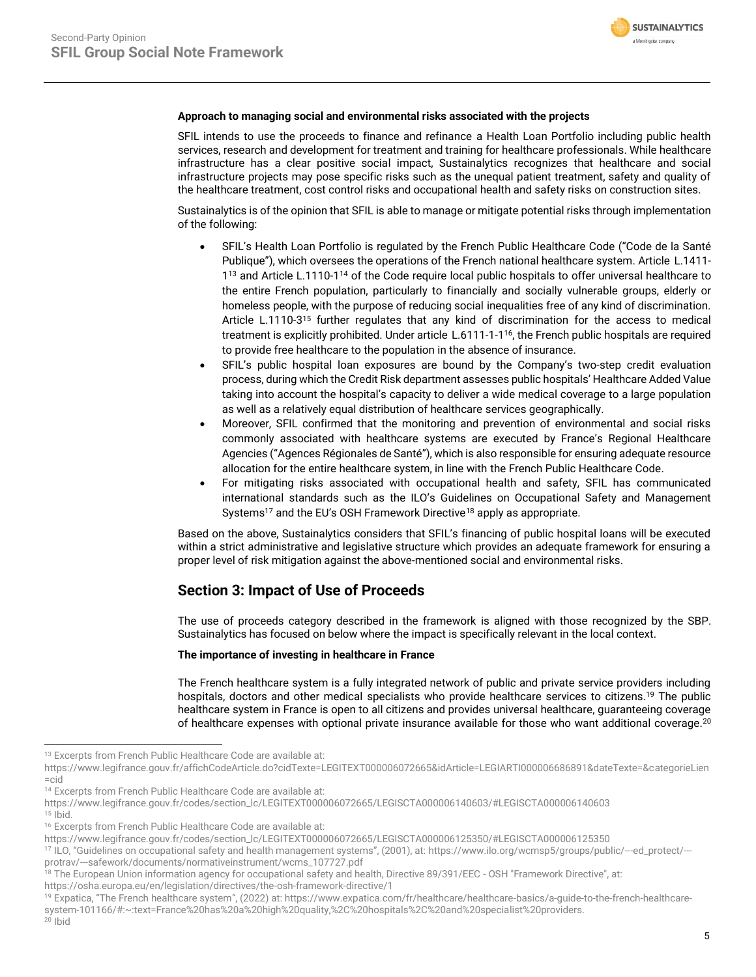

## **Approach to managing social and environmental risks associated with the projects**

SFIL intends to use the proceeds to finance and refinance a Health Loan Portfolio including public health services, research and development for treatment and training for healthcare professionals. While healthcare infrastructure has a clear positive social impact, Sustainalytics recognizes that healthcare and social infrastructure projects may pose specific risks such as the unequal patient treatment, safety and quality of the healthcare treatment, cost control risks and occupational health and safety risks on construction sites.

Sustainalytics is of the opinion that SFIL is able to manage or mitigate potential risks through implementation of the following:

- SFIL's Health Loan Portfolio is regulated by the French Public Healthcare Code ("Code de la Santé Publique"), which oversees the operations of the French national healthcare system. Article L.1411- 1<sup>13</sup> and Article L.1110-1<sup>14</sup> of the Code require local public hospitals to offer universal healthcare to the entire French population, particularly to financially and socially vulnerable groups, elderly or homeless people, with the purpose of reducing social inequalities free of any kind of discrimination. Article L.1110-3<sup>15</sup> further regulates that any kind of discrimination for the access to medical treatment is explicitly prohibited. Under article L.6111-1-1<sup>16</sup>, the French public hospitals are required to provide free healthcare to the population in the absence of insurance.
- SFIL's public hospital loan exposures are bound by the Company's two-step credit evaluation process, during which the Credit Risk department assesses public hospitals' Healthcare Added Value taking into account the hospital's capacity to deliver a wide medical coverage to a large population as well as a relatively equal distribution of healthcare services geographically.
- Moreover, SFIL confirmed that the monitoring and prevention of environmental and social risks commonly associated with healthcare systems are executed by France's Regional Healthcare Agencies ("Agences Régionales de Santé"), which is also responsible for ensuring adequate resource allocation for the entire healthcare system, in line with the French Public Healthcare Code.
- For mitigating risks associated with occupational health and safety, SFIL has communicated international standards such as the ILO's Guidelines on Occupational Safety and Management Systems<sup>17</sup> and the EU's OSH Framework Directive<sup>18</sup> apply as appropriate.

Based on the above, Sustainalytics considers that SFIL's financing of public hospital loans will be executed within a strict administrative and legislative structure which provides an adequate framework for ensuring a proper level of risk mitigation against the above-mentioned social and environmental risks.

# **Section 3: Impact of Use of Proceeds**

The use of proceeds category described in the framework is aligned with those recognized by the SBP. Sustainalytics has focused on below where the impact is specifically relevant in the local context.

## **The importance of investing in healthcare in France**

The French healthcare system is a fully integrated network of public and private service providers including hospitals, doctors and other medical specialists who provide healthcare services to citizens.<sup>19</sup> The public healthcare system in France is open to all citizens and provides universal healthcare, guaranteeing coverage of healthcare expenses with optional private insurance available for those who want additional coverage.<sup>20</sup>

<sup>14</sup> Excerpts from French Public Healthcare Code are available at:

 $15$  lbid.

https://osha.europa.eu/en/legislation/directives/the-osh-framework-directive/1

<sup>&</sup>lt;sup>13</sup> Excerpts from French Public Healthcare Code are available at:

[https://www.legifrance.gouv.fr/affichCodeArticle.do?cidTexte=LEGITEXT000006072665&idArticle=LEGIARTI000006686891&dateTexte=&categorieLien](https://www.legifrance.gouv.fr/affichCodeArticle.do?cidTexte=LEGITEXT000006072665&idArticle=LEGIARTI000006686891&dateTexte=&categorieLien=cid) [=cid](https://www.legifrance.gouv.fr/affichCodeArticle.do?cidTexte=LEGITEXT000006072665&idArticle=LEGIARTI000006686891&dateTexte=&categorieLien=cid)

https://www.legifrance.gouv.fr/codes/section\_lc/LEGITEXT000006072665/LEGISCTA000006140603/#LEGISCTA000006140603

<sup>&</sup>lt;sup>16</sup> Excerpts from French Public Healthcare Code are available at:

https://www.legifrance.gouv.fr/codes/section\_lc/LEGITEXT000006072665/LEGISCTA000006125350/#LEGISCTA000006125350

<sup>17</sup> ILO, "Guidelines on occupational safety and health management systems", (2001), at: https://www.ilo.org/wcmsp5/groups/public/---ed\_protect/-- protrav/---safework/documents/normativeinstrument/wcms\_107727.pdf

<sup>&</sup>lt;sup>18</sup> The European Union information agency for occupational safety and health, Directive 89/391/EEC - OSH "Framework Directive", at:

<sup>19</sup> Expatica, "The French healthcare system", (2022) at: https://www.expatica.com/fr/healthcare/healthcare-basics/a-guide-to-the-french-healthcaresystem-101166/#:~:text=France%20has%20a%20high%20quality,%2C%20hospitals%2C%20and%20specialist%20providers.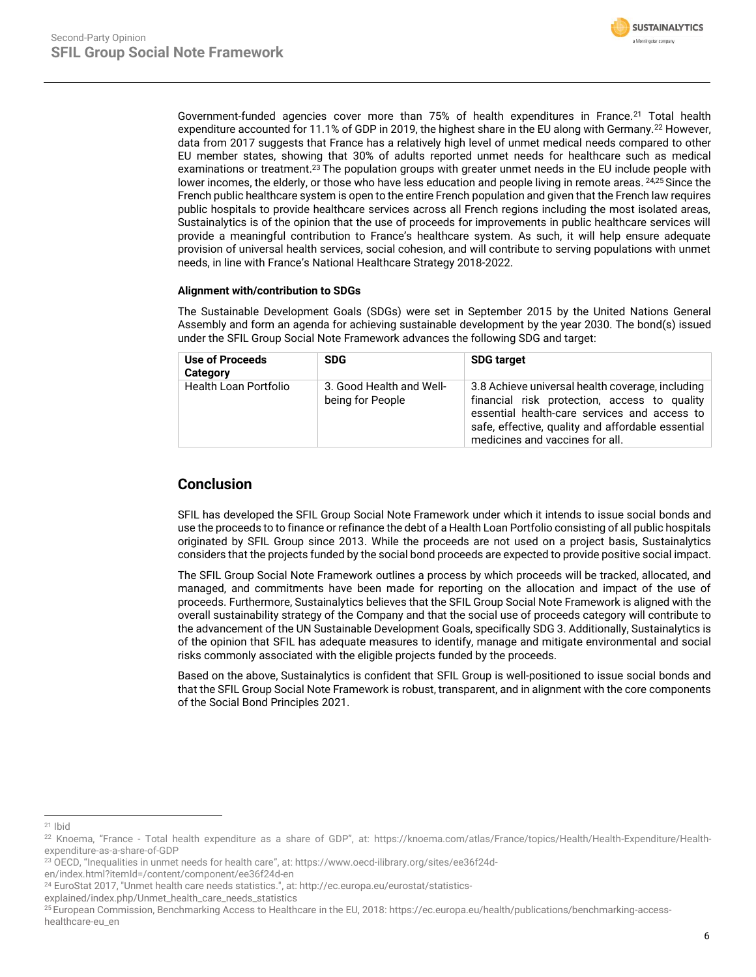

Government-funded agencies cover more than 75% of health expenditures in France.<sup>21</sup> Total health expenditure accounted for 11.1% of GDP in 2019, the highest share in the EU along with Germany.<sup>22</sup> However, data from 2017 suggests that France has a relatively high level of unmet medical needs compared to other EU member states, showing that 30% of adults reported unmet needs for healthcare such as medical examinations or treatment.<sup>23</sup> The population groups with greater unmet needs in the EU include people with lower incomes, the elderly, or those who have less education and people living in remote areas. 24,25 Since the French public healthcare system is open to the entire French population and given that the French law requires public hospitals to provide healthcare services across all French regions including the most isolated areas, Sustainalytics is of the opinion that the use of proceeds for improvements in public healthcare services will provide a meaningful contribution to France's healthcare system. As such, it will help ensure adequate provision of universal health services, social cohesion, and will contribute to serving populations with unmet needs, in line with France's National Healthcare Strategy 2018-2022.

## **Alignment with/contribution to SDGs**

The Sustainable Development Goals (SDGs) were set in September 2015 by the United Nations General Assembly and form an agenda for achieving sustainable development by the year 2030. The bond(s) issued under the SFIL Group Social Note Framework advances the following SDG and target:

| Use of Proceeds<br>Category  | <b>SDG</b>                                   | <b>SDG target</b>                                                                                                                                                                                                                        |
|------------------------------|----------------------------------------------|------------------------------------------------------------------------------------------------------------------------------------------------------------------------------------------------------------------------------------------|
| <b>Health Loan Portfolio</b> | 3. Good Health and Well-<br>being for People | 3.8 Achieve universal health coverage, including<br>financial risk protection, access to quality<br>essential health-care services and access to<br>safe, effective, quality and affordable essential<br>medicines and vaccines for all. |

# **Conclusion**

SFIL has developed the SFIL Group Social Note Framework under which it intends to issue social bonds and use the proceeds to to finance or refinance the debt of a Health Loan Portfolio consisting of all public hospitals originated by SFIL Group since 2013. While the proceeds are not used on a project basis, Sustainalytics considers that the projects funded by the social bond proceeds are expected to provide positive social impact.

The SFIL Group Social Note Framework outlines a process by which proceeds will be tracked, allocated, and managed, and commitments have been made for reporting on the allocation and impact of the use of proceeds. Furthermore, Sustainalytics believes that the SFIL Group Social Note Framework is aligned with the overall sustainability strategy of the Company and that the social use of proceeds category will contribute to the advancement of the UN Sustainable Development Goals, specifically SDG 3. Additionally, Sustainalytics is of the opinion that SFIL has adequate measures to identify, manage and mitigate environmental and social risks commonly associated with the eligible projects funded by the proceeds.

Based on the above, Sustainalytics is confident that SFIL Group is well-positioned to issue social bonds and that the SFIL Group Social Note Framework is robust, transparent, and in alignment with the core components of the Social Bond Principles 2021.

<sup>21</sup> Ibid

<sup>22</sup> Knoema, "France - Total health expenditure as a share of GDP", at: https://knoema.com/atlas/France/topics/Health/Health-Expenditure/Healthexpenditure-as-a-share-of-GDP

<sup>23</sup> OECD, "Inequalities in unmet needs for health care", at: https://www.oecd-ilibrary.org/sites/ee36f24d-

en/index.html?itemId=/content/component/ee36f24d-en

<sup>24</sup> EuroStat 2017, "Unmet health care needs statistics.", at: http://ec.europa.eu/eurostat/statistics-

explained/index.php/Unmet\_health\_care\_needs\_statistics

<sup>25</sup> European Commission, Benchmarking Access to Healthcare in the EU, 2018: https://ec.europa.eu/health/publications/benchmarking-accesshealthcare-eu\_en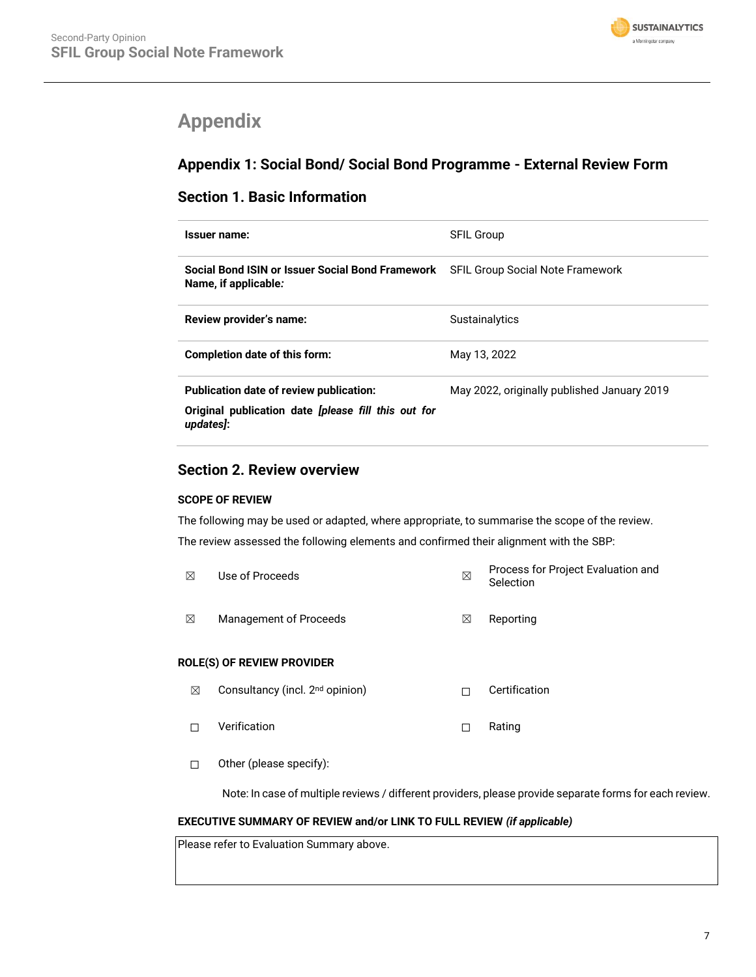

# <span id="page-6-0"></span>**Appendix**

# **Appendix 1: Social Bond/ Social Bond Programme - External Review Form**

# **Section 1. Basic Information**

| Issuer name:                                                             | <b>SFIL Group</b>                           |
|--------------------------------------------------------------------------|---------------------------------------------|
| Social Bond ISIN or Issuer Social Bond Framework<br>Name, if applicable: | <b>SFIL Group Social Note Framework</b>     |
| Review provider's name:                                                  | Sustainalytics                              |
| Completion date of this form:                                            | May 13, 2022                                |
| Publication date of review publication:                                  | May 2022, originally published January 2019 |
| Original publication date <i>[please fill this out for</i><br>updates]:  |                                             |

# **Section 2. Review overview**

# **SCOPE OF REVIEW**

The following may be used or adapted, where appropriate, to summarise the scope of the review. The review assessed the following elements and confirmed their alignment with the SBP:

| ⊠ | Use of Proceeds        |   | Process for Project Evaluation and<br>Selection |  |
|---|------------------------|---|-------------------------------------------------|--|
| ⊠ | Management of Proceeds | ⊠ | Reporting                                       |  |

# **ROLE(S) OF REVIEW PROVIDER**

- ☒ Consultancy (incl. 2nd opinion) ☐ Certification ☐ Verification ☐ Rating
- ☐ Other (please specify):

Note: In case of multiple reviews / different providers, please provide separate forms for each review.

# **EXECUTIVE SUMMARY OF REVIEW and/or LINK TO FULL REVIEW** *(if applicable)*

Please refer to Evaluation Summary above.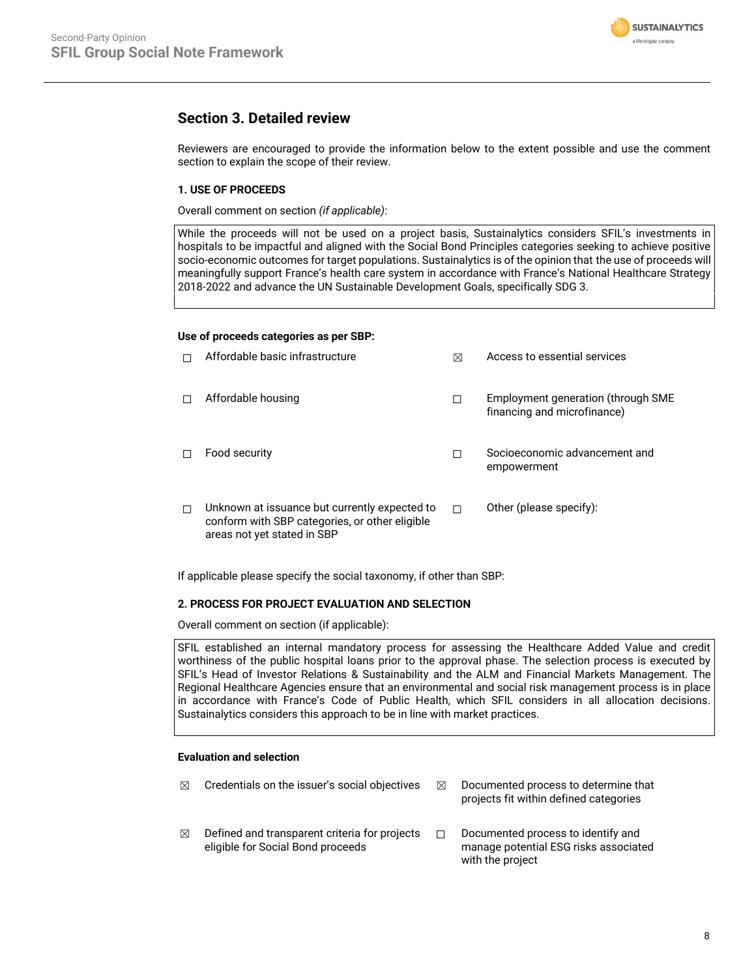

# **Section 3. Detailed review**

Reviewers are encouraged to provide the information below to the extent possible and use the comment section to explain the scope of their review.

# **1. USE OF PROCEEDS**

Overall comment on section *(if applicable)*:

While the proceeds will not be used on a project basis, Sustainalytics considers SFIL's investments in hospitals to be impactful and aligned with the Social Bond Principles categories seeking to achieve positive socio-economic outcomes for target populations. Sustainalytics is of the opinion that the use of proceeds will meaningfully support France's health care system in accordance with France's National Healthcare Strategy 2018-2022 and advance the UN Sustainable Development Goals, specifically SDG 3.

### **Use of proceeds categories as per SBP:**

| Affordable basic infrastructure                                                                                                | ⊠ | Access to essential services                                      |
|--------------------------------------------------------------------------------------------------------------------------------|---|-------------------------------------------------------------------|
| Affordable housing                                                                                                             |   | Employment generation (through SME<br>financing and microfinance) |
| Food security                                                                                                                  |   | Socioeconomic advancement and<br>empowerment                      |
| Unknown at issuance but currently expected to<br>conform with SBP categories, or other eligible<br>areas not yet stated in SBP | п | Other (please specify):                                           |

If applicable please specify the social taxonomy, if other than SBP:

### **2. PROCESS FOR PROJECT EVALUATION AND SELECTION**

Overall comment on section (if applicable):

SFIL established an internal mandatory process for assessing the Healthcare Added Value and credit worthiness of the public hospital loans prior to the approval phase. The selection process is executed by SFIL's Head of Investor Relations & Sustainability and the ALM and Financial Markets Management. The Regional Healthcare Agencies ensure that an environmental and social risk management process is in place in accordance with France's Code of Public Health, which SFIL considers in all allocation decisions. Sustainalytics considers this approach to be in line with market practices.

### **Evaluation and selection**

 $\boxtimes$  Credentials on the issuer's social objectives  $\boxtimes$  Documented process to determine that projects fit within defined categories  $\boxtimes$  Defined and transparent criteria for projects eligible for Social Bond proceeds ☐ Documented process to identify and manage potential ESG risks associated with the project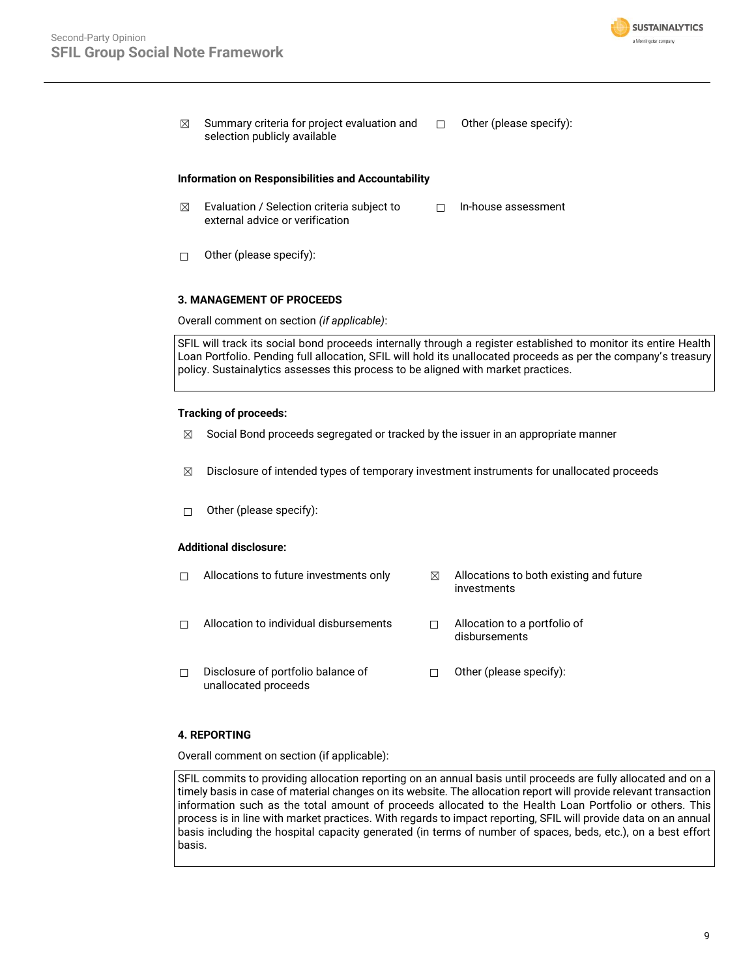

 $\boxtimes$  Summary criteria for project evaluation and selection publicly available ☐ Other (please specify):

#### **Information on Responsibilities and Accountability**

- $\boxtimes$  Evaluation / Selection criteria subject to external advice or verification ☐ In-house assessment
- ☐ Other (please specify):

### **3. MANAGEMENT OF PROCEEDS**

Overall comment on section *(if applicable)*:

SFIL will track its social bond proceeds internally through a register established to monitor its entire Health Loan Portfolio. Pending full allocation, SFIL will hold its unallocated proceeds as per the company's treasury policy. Sustainalytics assesses this process to be aligned with market practices.

### **Tracking of proceeds:**

- $\boxtimes$  Social Bond proceeds segregated or tracked by the issuer in an appropriate manner
- $\boxtimes$  Disclosure of intended types of temporary investment instruments for unallocated proceeds
- ☐ Other (please specify):

### **Additional disclosure:**

 $\Box$  Allocations to future investments only  $\boxtimes$  Allocations to both existing and future investments ☐ Allocation to individual disbursements ☐ Allocation to a portfolio of disbursements ☐ Disclosure of portfolio balance of unallocated proceeds ☐ Other (please specify):

## **4. REPORTING**

Overall comment on section (if applicable):

SFIL commits to providing allocation reporting on an annual basis until proceeds are fully allocated and on a timely basis in case of material changes on its website. The allocation report will provide relevant transaction information such as the total amount of proceeds allocated to the Health Loan Portfolio or others. This process is in line with market practices. With regards to impact reporting, SFIL will provide data on an annual basis including the hospital capacity generated (in terms of number of spaces, beds, etc.), on a best effort basis.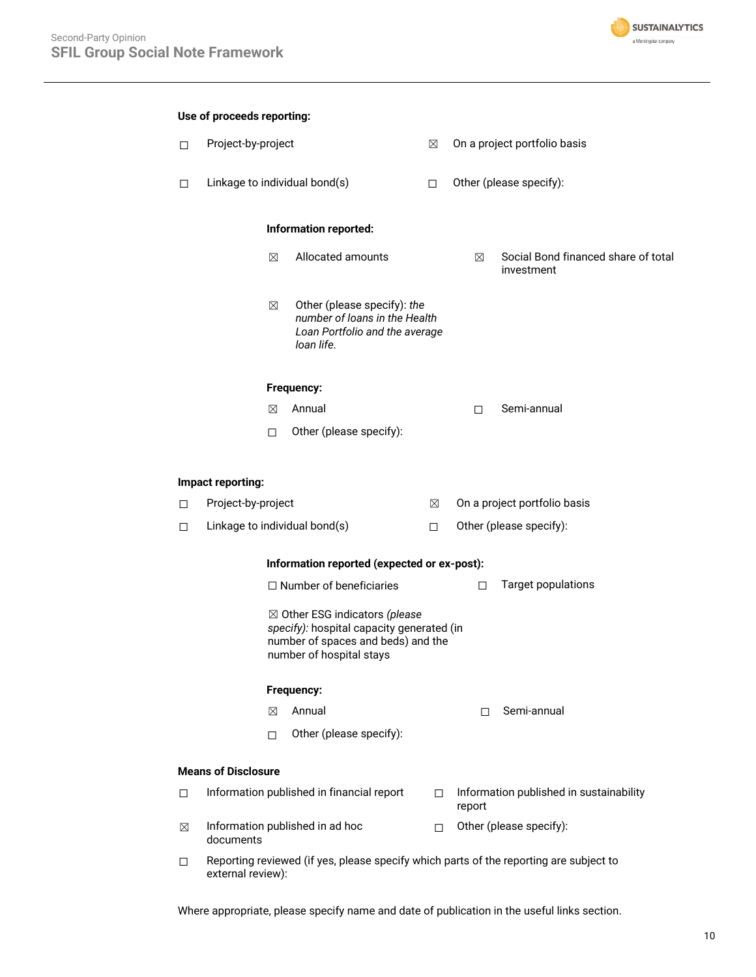

| Use of proceeds reporting: |                                                                                                                                               |                                             |                                                                                                              |                         |                              |                                                   |  |
|----------------------------|-----------------------------------------------------------------------------------------------------------------------------------------------|---------------------------------------------|--------------------------------------------------------------------------------------------------------------|-------------------------|------------------------------|---------------------------------------------------|--|
| $\Box$                     | Project-by-project                                                                                                                            |                                             |                                                                                                              | $\boxtimes$             | On a project portfolio basis |                                                   |  |
| □                          | Linkage to individual bond(s)                                                                                                                 |                                             | $\Box$                                                                                                       | Other (please specify): |                              |                                                   |  |
|                            |                                                                                                                                               | Information reported:                       |                                                                                                              |                         |                              |                                                   |  |
|                            |                                                                                                                                               | ⊠                                           | Allocated amounts                                                                                            |                         | ⊠                            | Social Bond financed share of total<br>investment |  |
|                            |                                                                                                                                               | $\boxtimes$                                 | Other (please specify): the<br>number of loans in the Health<br>Loan Portfolio and the average<br>loan life. |                         |                              |                                                   |  |
|                            |                                                                                                                                               |                                             | Frequency:                                                                                                   |                         |                              |                                                   |  |
|                            |                                                                                                                                               | ⊠                                           | Annual                                                                                                       |                         | П.                           | Semi-annual                                       |  |
|                            |                                                                                                                                               | $\Box$                                      | Other (please specify):                                                                                      |                         |                              |                                                   |  |
|                            | Impact reporting:                                                                                                                             |                                             |                                                                                                              |                         |                              |                                                   |  |
| □                          | Project-by-project                                                                                                                            |                                             |                                                                                                              | ⊠                       |                              | On a project portfolio basis                      |  |
| □                          | Linkage to individual bond(s)                                                                                                                 |                                             |                                                                                                              | $\Box$                  |                              | Other (please specify):                           |  |
|                            |                                                                                                                                               | Information reported (expected or ex-post): |                                                                                                              |                         |                              |                                                   |  |
|                            |                                                                                                                                               |                                             | $\Box$ Number of beneficiaries                                                                               |                         | $\Box$                       | <b>Target populations</b>                         |  |
|                            | ⊠ Other ESG indicators (please<br>specify): hospital capacity generated (in<br>number of spaces and beds) and the<br>number of hospital stays |                                             |                                                                                                              |                         |                              |                                                   |  |
|                            | Frequency:                                                                                                                                    |                                             |                                                                                                              |                         |                              |                                                   |  |
|                            |                                                                                                                                               | ⊠                                           | Annual                                                                                                       |                         | П                            | Semi-annual                                       |  |
|                            |                                                                                                                                               | $\Box$                                      | Other (please specify):                                                                                      |                         |                              |                                                   |  |
|                            | <b>Means of Disclosure</b>                                                                                                                    |                                             |                                                                                                              |                         |                              |                                                   |  |
| □                          |                                                                                                                                               |                                             | Information published in financial report                                                                    | П.                      | report                       | Information published in sustainability           |  |
| $\boxtimes$                | documents                                                                                                                                     |                                             | Information published in ad hoc                                                                              | П.                      |                              | Other (please specify):                           |  |
| □                          | external review):                                                                                                                             |                                             | Reporting reviewed (if yes, please specify which parts of the reporting are subject to                       |                         |                              |                                                   |  |

Where appropriate, please specify name and date of publication in the useful links section.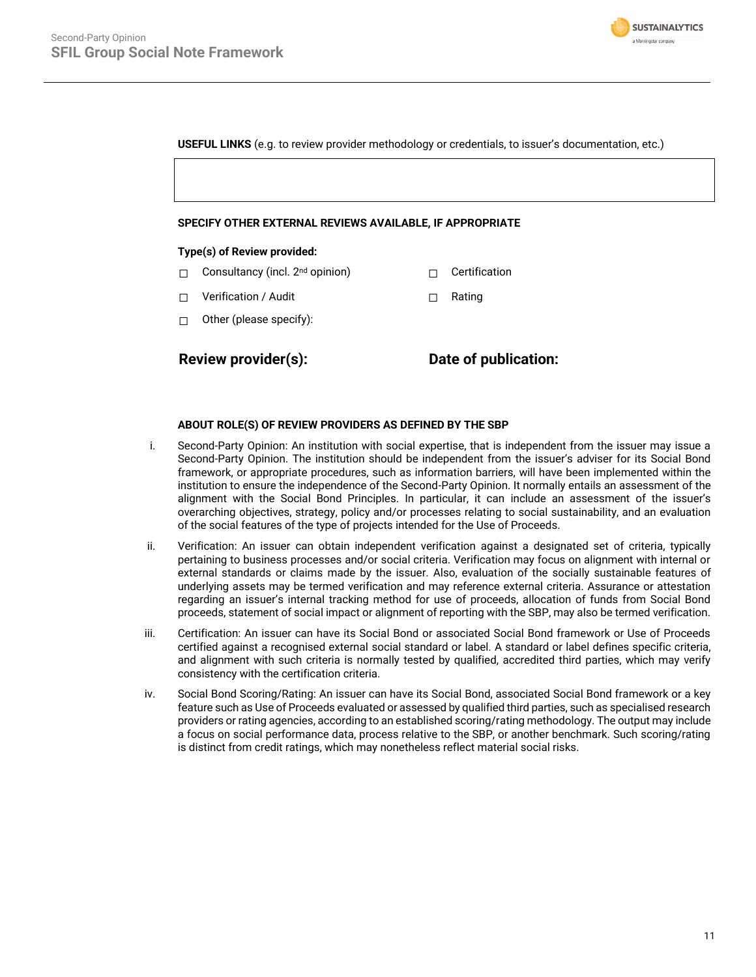

**USEFUL LINKS** (e.g. to review provider methodology or credentials, to issuer's documentation, etc.)

#### **SPECIFY OTHER EXTERNAL REVIEWS AVAILABLE, IF APPROPRIATE**

### **Type(s) of Review provided:**

- □ Consultancy (incl. 2<sup>nd</sup> opinion) □ Certification
- ☐ Verification / Audit ☐ Rating
- ☐ Other (please specify):

**Review provider(s): Date of publication:**

### **ABOUT ROLE(S) OF REVIEW PROVIDERS AS DEFINED BY THE SBP**

- i. Second-Party Opinion: An institution with social expertise, that is independent from the issuer may issue a Second-Party Opinion. The institution should be independent from the issuer's adviser for its Social Bond framework, or appropriate procedures, such as information barriers, will have been implemented within the institution to ensure the independence of the Second-Party Opinion. It normally entails an assessment of the alignment with the Social Bond Principles. In particular, it can include an assessment of the issuer's overarching objectives, strategy, policy and/or processes relating to social sustainability, and an evaluation of the social features of the type of projects intended for the Use of Proceeds.
- ii. Verification: An issuer can obtain independent verification against a designated set of criteria, typically pertaining to business processes and/or social criteria. Verification may focus on alignment with internal or external standards or claims made by the issuer. Also, evaluation of the socially sustainable features of underlying assets may be termed verification and may reference external criteria. Assurance or attestation regarding an issuer's internal tracking method for use of proceeds, allocation of funds from Social Bond proceeds, statement of social impact or alignment of reporting with the SBP, may also be termed verification.
- iii. Certification: An issuer can have its Social Bond or associated Social Bond framework or Use of Proceeds certified against a recognised external social standard or label. A standard or label defines specific criteria, and alignment with such criteria is normally tested by qualified, accredited third parties, which may verify consistency with the certification criteria.
- iv. Social Bond Scoring/Rating: An issuer can have its Social Bond, associated Social Bond framework or a key feature such as Use of Proceeds evaluated or assessed by qualified third parties, such as specialised research providers or rating agencies, according to an established scoring/rating methodology. The output may include a focus on social performance data, process relative to the SBP, or another benchmark. Such scoring/rating is distinct from credit ratings, which may nonetheless reflect material social risks.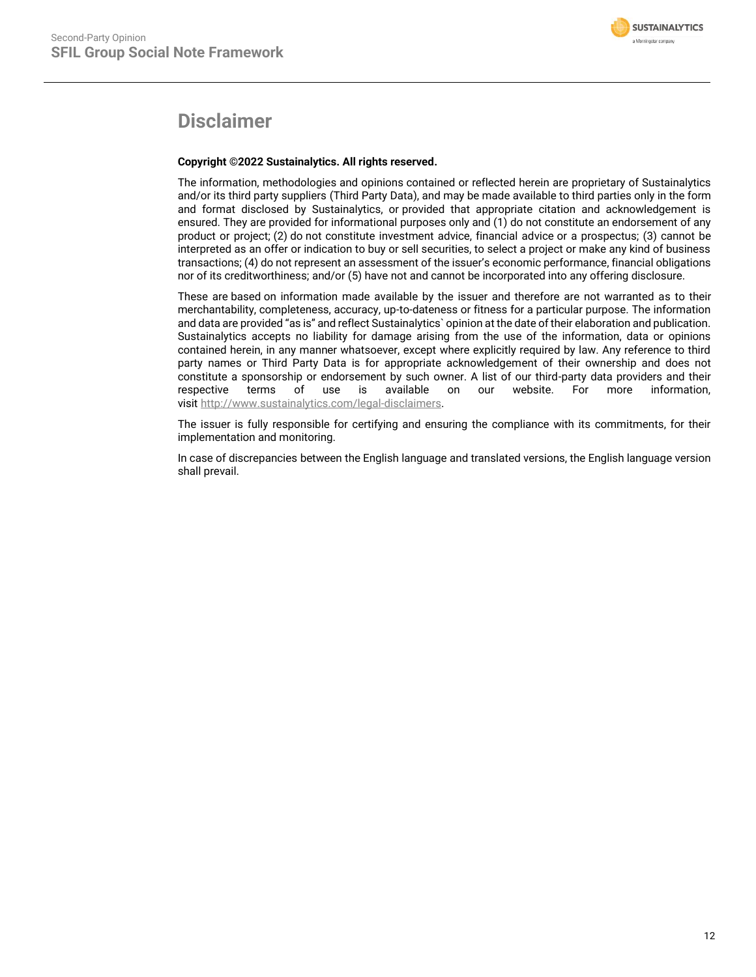# **Disclaimer**

## **Copyright ©2022 Sustainalytics. All rights reserved.**

The information, methodologies and opinions contained or reflected herein are proprietary of Sustainalytics and/or its third party suppliers (Third Party Data), and may be made available to third parties only in the form and format disclosed by Sustainalytics, or provided that appropriate citation and acknowledgement is ensured. They are provided for informational purposes only and (1) do not constitute an endorsement of any product or project; (2) do not constitute investment advice, financial advice or a prospectus; (3) cannot be interpreted as an offer or indication to buy or sell securities, to select a project or make any kind of business transactions; (4) do not represent an assessment of the issuer's economic performance, financial obligations nor of its creditworthiness; and/or (5) have not and cannot be incorporated into any offering disclosure.

These are based on information made available by the issuer and therefore are not warranted as to their merchantability, completeness, accuracy, up-to-dateness or fitness for a particular purpose. The information and data are provided "as is" and reflect Sustainalytics` opinion at the date of their elaboration and publication. Sustainalytics accepts no liability for damage arising from the use of the information, data or opinions contained herein, in any manner whatsoever, except where explicitly required by law. Any reference to third party names or Third Party Data is for appropriate acknowledgement of their ownership and does not constitute a sponsorship or endorsement by such owner. A list of our third-party data providers and their respective terms of use is available on our website. For more information, visit [http://www.sustainalytics.com/legal-disclaimers.](http://www.sustainalytics.com/legal-disclaimers)

The issuer is fully responsible for certifying and ensuring the compliance with its commitments, for their implementation and monitoring.

In case of discrepancies between the English language and translated versions, the English language version shall prevail.